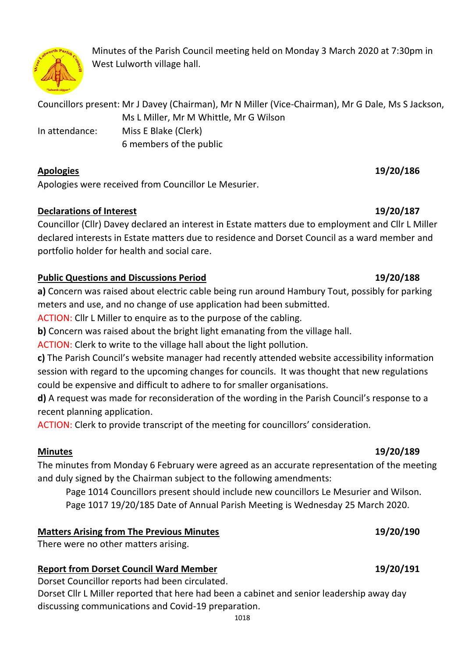

Minutes of the Parish Council meeting held on Monday 3 March 2020 at 7:30pm in West Lulworth village hall.

Councillors present: Mr J Davey (Chairman), Mr N Miller (Vice-Chairman), Mr G Dale, Ms S Jackson, Ms L Miller, Mr M Whittle, Mr G Wilson In attendance: Miss E Blake (Clerk) 6 members of the public

## **Apologies 19/20/186**

Apologies were received from Councillor Le Mesurier.

## **Declarations of Interest 19/20/187**

Councillor (Cllr) Davey declared an interest in Estate matters due to employment and Cllr L Miller declared interests in Estate matters due to residence and Dorset Council as a ward member and portfolio holder for health and social care.

# **Public Questions and Discussions Period 19/20/188**

**a)** Concern was raised about electric cable being run around Hambury Tout, possibly for parking meters and use, and no change of use application had been submitted.

ACTION: Cllr L Miller to enquire as to the purpose of the cabling.

**b)** Concern was raised about the bright light emanating from the village hall.

ACTION: Clerk to write to the village hall about the light pollution.

**c)** The Parish Council's website manager had recently attended website accessibility information session with regard to the upcoming changes for councils. It was thought that new regulations could be expensive and difficult to adhere to for smaller organisations.

**d)** A request was made for reconsideration of the wording in the Parish Council's response to a recent planning application.

ACTION: Clerk to provide transcript of the meeting for councillors' consideration.

The minutes from Monday 6 February were agreed as an accurate representation of the meeting and duly signed by the Chairman subject to the following amendments:

Page 1014 Councillors present should include new councillors Le Mesurier and Wilson. Page 1017 19/20/185 Date of Annual Parish Meeting is Wednesday 25 March 2020.

# **Matters Arising from The Previous Minutes 19/20/190**

There were no other matters arising.

# **Report from Dorset Council Ward Member 19/20/191**

Dorset Councillor reports had been circulated.

Dorset Cllr L Miller reported that here had been a cabinet and senior leadership away day discussing communications and Covid-19 preparation.

## **Minutes 19/20/189**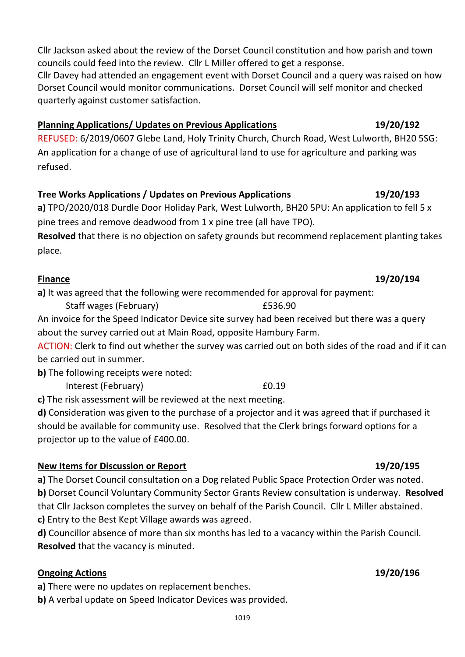Cllr Jackson asked about the review of the Dorset Council constitution and how parish and town councils could feed into the review. Cllr L Miller offered to get a response. Cllr Davey had attended an engagement event with Dorset Council and a query was raised on how

Dorset Council would monitor communications. Dorset Council will self monitor and checked quarterly against customer satisfaction.

# **Planning Applications/ Updates on Previous Applications 19/20/192**

REFUSED: 6/2019/0607 Glebe Land, Holy Trinity Church, Church Road, West Lulworth, BH20 5SG: An application for a change of use of agricultural land to use for agriculture and parking was refused.

# **Tree Works Applications / Updates on Previous Applications 19/20/193**

**a)** TPO/2020/018 Durdle Door Holiday Park, West Lulworth, BH20 5PU: An application to fell 5 x pine trees and remove deadwood from 1 x pine tree (all have TPO).

**Resolved** that there is no objection on safety grounds but recommend replacement planting takes place.

# **Finance 19/20/194**

**a)** It was agreed that the following were recommended for approval for payment:

Staff wages (February) 6536.90

An invoice for the Speed Indicator Device site survey had been received but there was a query about the survey carried out at Main Road, opposite Hambury Farm.

ACTION: Clerk to find out whether the survey was carried out on both sides of the road and if it can be carried out in summer.

**b)** The following receipts were noted:

Interest (February) 60.19

**c)** The risk assessment will be reviewed at the next meeting.

**d)** Consideration was given to the purchase of a projector and it was agreed that if purchased it should be available for community use. Resolved that the Clerk brings forward options for a projector up to the value of £400.00.

# **New Items for Discussion or Report 19/20/195**

**a)** The Dorset Council consultation on a Dog related Public Space Protection Order was noted. **b)** Dorset Council Voluntary Community Sector Grants Review consultation is underway. **Resolved**  that Cllr Jackson completes the survey on behalf of the Parish Council. Cllr L Miller abstained. **c)** Entry to the Best Kept Village awards was agreed.

**d)** Councillor absence of more than six months has led to a vacancy within the Parish Council. **Resolved** that the vacancy is minuted.

# **Ongoing Actions 19/20/196**

**a)** There were no updates on replacement benches.

**b)** A verbal update on Speed Indicator Devices was provided.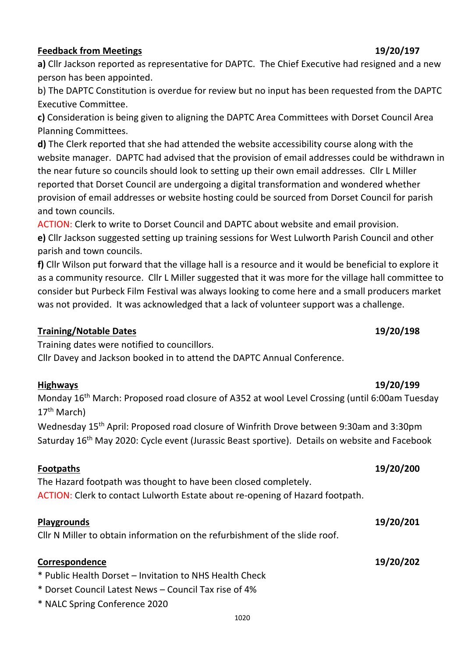### 1020

### **Feedback from Meetings 19/20/197**

**a)** Cllr Jackson reported as representative for DAPTC. The Chief Executive had resigned and a new person has been appointed.

b) The DAPTC Constitution is overdue for review but no input has been requested from the DAPTC Executive Committee.

**c)** Consideration is being given to aligning the DAPTC Area Committees with Dorset Council Area Planning Committees.

**d)** The Clerk reported that she had attended the website accessibility course along with the website manager. DAPTC had advised that the provision of email addresses could be withdrawn in the near future so councils should look to setting up their own email addresses. Cllr L Miller reported that Dorset Council are undergoing a digital transformation and wondered whether provision of email addresses or website hosting could be sourced from Dorset Council for parish and town councils.

ACTION: Clerk to write to Dorset Council and DAPTC about website and email provision.

**e)** Cllr Jackson suggested setting up training sessions for West Lulworth Parish Council and other parish and town councils.

**f)** Cllr Wilson put forward that the village hall is a resource and it would be beneficial to explore it as a community resource. Cllr L Miller suggested that it was more for the village hall committee to consider but Purbeck Film Festival was always looking to come here and a small producers market was not provided. It was acknowledged that a lack of volunteer support was a challenge.

### **Training/Notable Dates 19/20/198**

Training dates were notified to councillors.

Cllr Davey and Jackson booked in to attend the DAPTC Annual Conference.

### **Highways 19/20/199**

Monday 16<sup>th</sup> March: Proposed road closure of A352 at wool Level Crossing (until 6:00am Tuesday  $17<sup>th</sup>$  March)

Wednesday 15<sup>th</sup> April: Proposed road closure of Winfrith Drove between 9:30am and 3:30pm Saturday 16<sup>th</sup> May 2020: Cycle event (Jurassic Beast sportive). Details on website and Facebook

The Hazard footpath was thought to have been closed completely. ACTION: Clerk to contact Lulworth Estate about re-opening of Hazard footpath.

### **Playgrounds 19/20/201**

Cllr N Miller to obtain information on the refurbishment of the slide roof.

### **Correspondence 19/20/202**

\* Public Health Dorset – Invitation to NHS Health Check

- \* Dorset Council Latest News Council Tax rise of 4%
- \* NALC Spring Conference 2020

# **Footpaths 19/20/200**